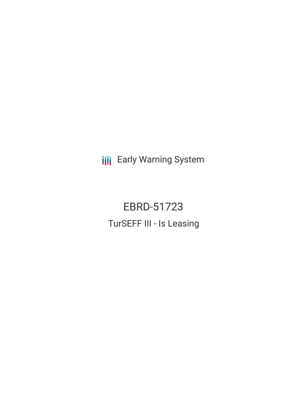**III** Early Warning System

EBRD-51723 TurSEFF III - Is Leasing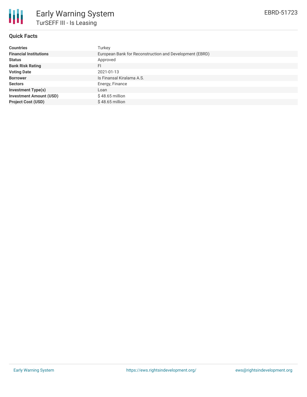

## **Quick Facts**

| <b>Countries</b>               | Turkey                                                  |
|--------------------------------|---------------------------------------------------------|
| <b>Financial Institutions</b>  | European Bank for Reconstruction and Development (EBRD) |
| <b>Status</b>                  | Approved                                                |
| <b>Bank Risk Rating</b>        | FI                                                      |
| <b>Voting Date</b>             | 2021-01-13                                              |
| <b>Borrower</b>                | Is Finansal Kiralama A.S.                               |
| <b>Sectors</b>                 | Energy, Finance                                         |
| <b>Investment Type(s)</b>      | Loan                                                    |
| <b>Investment Amount (USD)</b> | $$48.65$ million                                        |
| <b>Project Cost (USD)</b>      | $$48.65$ million                                        |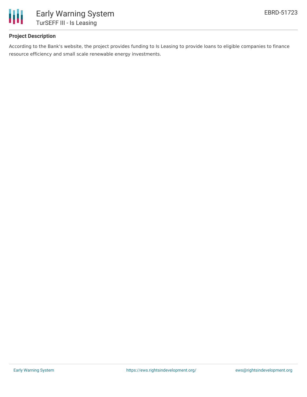

# **Project Description**

According to the Bank's website, the project provides funding to Is Leasing to provide loans to eligible companies to finance resource efficiency and small scale renewable energy investments.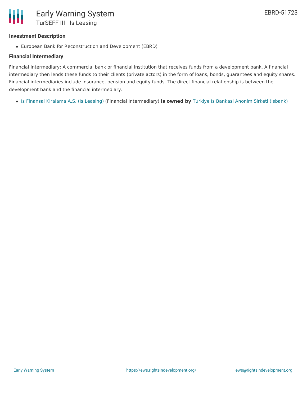#### **Investment Description**

European Bank for Reconstruction and Development (EBRD)

#### **Financial Intermediary**

Financial Intermediary: A commercial bank or financial institution that receives funds from a development bank. A financial intermediary then lends these funds to their clients (private actors) in the form of loans, bonds, guarantees and equity shares. Financial intermediaries include insurance, pension and equity funds. The direct financial relationship is between the development bank and the financial intermediary.

Is Finansal [Kiralama](file:///actor/3839/) A.S. (Is Leasing) (Financial Intermediary) **is owned by** Turkiye Is Bankasi Anonim Sirketi [\(Isbank\)](file:///actor/174/)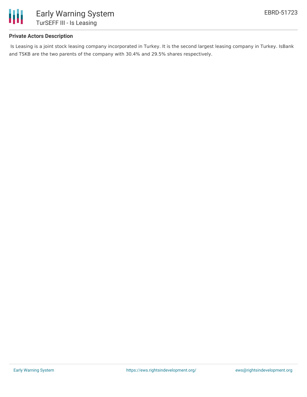

## **Private Actors Description**

Is Leasing is a joint stock leasing company incorporated in Turkey. It is the second largest leasing company in Turkey. IsBank and TSKB are the two parents of the company with 30.4% and 29.5% shares respectively.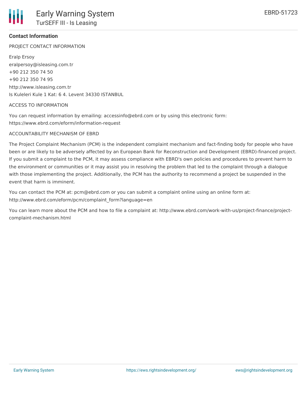## **Contact Information**

PROJECT CONTACT INFORMATION

Eralp Ersoy eralpersoy@isleasing.com.tr +90 212 350 74 50 +90 212 350 74 95 http://www.isleasing.com.tr Is Kuleleri Kule 1 Kat: 6 4. Levent 34330 ISTANBUL

#### ACCESS TO INFORMATION

You can request information by emailing: accessinfo@ebrd.com or by using this electronic form: https://www.ebrd.com/eform/information-request

#### ACCOUNTABILITY MECHANISM OF EBRD

The Project Complaint Mechanism (PCM) is the independent complaint mechanism and fact-finding body for people who have been or are likely to be adversely affected by an European Bank for Reconstruction and Development (EBRD)-financed project. If you submit a complaint to the PCM, it may assess compliance with EBRD's own policies and procedures to prevent harm to the environment or communities or it may assist you in resolving the problem that led to the complaint through a dialogue with those implementing the project. Additionally, the PCM has the authority to recommend a project be suspended in the event that harm is imminent.

You can contact the PCM at: pcm@ebrd.com or you can submit a complaint online using an online form at: http://www.ebrd.com/eform/pcm/complaint\_form?language=en

You can learn more about the PCM and how to file a complaint at: http://www.ebrd.com/work-with-us/project-finance/projectcomplaint-mechanism.html